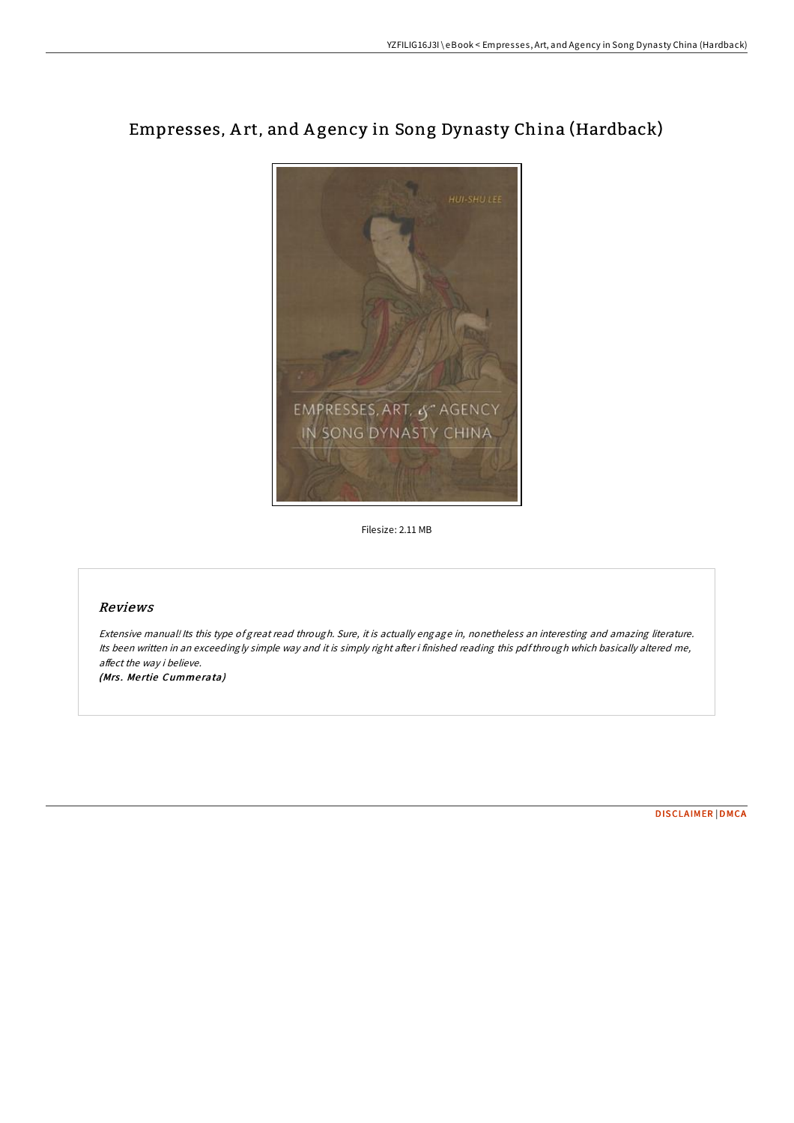## Empresses, A rt, and A gency in Song Dynasty China (Hardback)



Filesize: 2.11 MB

## Reviews

Extensive manual! Its this type of great read through. Sure, it is actually engage in, nonetheless an interesting and amazing literature. Its been written in an exceedingly simple way and it is simply right after i finished reading this pdfthrough which basically altered me, affect the way i believe.

(Mrs. Mertie Cummerata)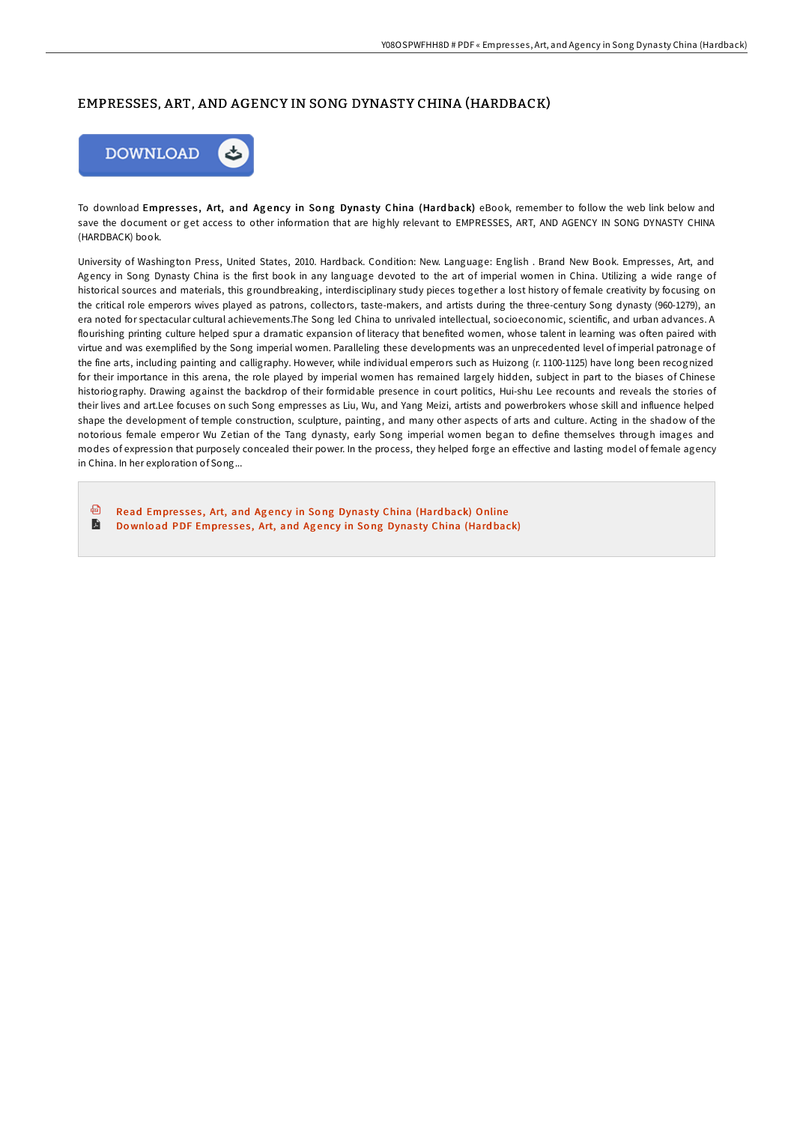## EMPRESSES, ART, AND AGENCY IN SONG DYNASTY CHINA (HARDBACK)



To download Empresses, Art, and Agency in Song Dynasty China (Hardback) eBook, remember to follow the web link below and save the document or get access to other information that are highly relevant to EMPRESSES, ART, AND AGENCY IN SONG DYNASTY CHINA (HARDBACK) book.

University of Washington Press, United States, 2010. Hardback. Condition: New. Language: English . Brand New Book. Empresses, Art, and Agency in Song Dynasty China is the first book in any language devoted to the art of imperial women in China. Utilizing a wide range of historical sources and materials, this groundbreaking, interdisciplinary study pieces together a lost history of female creativity by focusing on the critical role emperors wives played as patrons, collectors, taste-makers, and artists during the three-century Song dynasty (960-1279), an era noted for spectacular cultural achievements.The Song led China to unrivaled intellectual, socioeconomic, scientific, and urban advances. A flourishing printing culture helped spur a dramatic expansion of literacy that benefited women, whose talent in learning was often paired with virtue and was exemplified by the Song imperial women. Paralleling these developments was an unprecedented level of imperial patronage of the fine arts, including painting and calligraphy. However, while individual emperors such as Huizong (r. 1100-1125) have long been recognized for their importance in this arena, the role played by imperial women has remained largely hidden, subject in part to the biases of Chinese historiography. Drawing against the backdrop of their formidable presence in court politics, Hui-shu Lee recounts and reveals the stories of their lives and art.Lee focuses on such Song empresses as Liu, Wu, and Yang Meizi, artists and powerbrokers whose skill and influence helped shape the development of temple construction, sculpture, painting, and many other aspects of arts and culture. Acting in the shadow of the notorious female emperor Wu Zetian of the Tang dynasty, early Song imperial women began to define themselves through images and modes of expression that purposely concealed their power. In the process, they helped forge an effective and lasting model of female agency in China. In her exploration of Song...

品 Read Empresses, Art, and Agency in Song Dynasty China (Hardback) [Online](http://almighty24.tech/empresses-art-and-agency-in-song-dynasty-china-h.html) E Download PDF [Empre](http://almighty24.tech/empresses-art-and-agency-in-song-dynasty-china-h.html)sses, Art, and Agency in Song Dynasty China (Hardback)